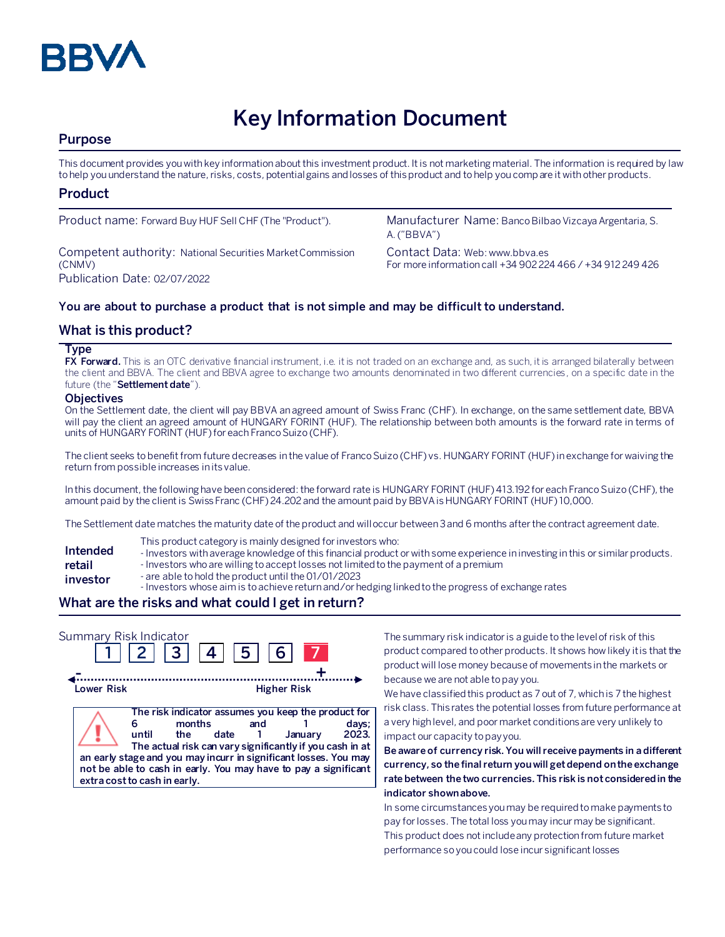

# **Key Information Document**

# **Purpose**

This document provides you with key information about this investment product. It is not marketing material. The information is required by law to help you understand the nature, risks, costs, potential gains and losses of this product and to help you compare it with other products.

# **Product**

Competent authority: National Securities Market Commission (CNMV) Publication Date: 02/07/2022

Product name: Forward Buy HUF Sell CHF (The "Product"). Manufacturer Name: Banco Bilbao Vizcaya Argentaria, S. A. ("BBVA")

> Contact Data: Web: www.bbva.es For more information call +34 902 224 466 / +34 912 249 426

## **You are about to purchase a product that is not simple and may be difficult to understand.**

# **What is this product?**

#### **Type**

**FX Forward.** This is an OTC derivative financial instrument, i.e. it is not traded on an exchange and, as such, it is arranged bilaterally between the client and BBVA. The client and BBVA agree to exchange two amounts denominated in two different currencies, on a specific date in the future (the "**Settlement date**").

#### **Objectives**

On the Settlement date, the client will pay BBVA an agreed amount of Swiss Franc (CHF). In exchange, on the same settlement date, BBVA will pay the client an agreed amount of HUNGARY FORINT (HUF). The relationship between both amounts is the forward rate in terms of units of HUNGARY FORINT (HUF)for each Franco Suizo (CHF).

The client seeks to benefit from future decreases in the value of Franco Suizo (CHF) vs. HUNGARY FORINT (HUF) in exchange for waiving the return from possible increases in its value.

In this document, the following have been considered: the forward rate is HUNGARY FORINT (HUF)413.192 for each Franco Suizo (CHF), the amount paid by the client is Swiss Franc (CHF) 24.202 and the amount paid by BBVA is HUNGARY FORINT (HUF) 10,000.

The Settlement date matches the maturity date of the product and will occur between 3 and 6 months after the contract agreement date.

- This product category is mainly designed for investors who:
- **Intended**  - Investors with average knowledge of this financial product or with some experience in investing in this or similar products.
- **retail**  - Investors who are willing to accept losses not limited to the payment of a premium
- **investor** - are able to hold the product until the 01/01/2023
	- Investors whose aim is to achieve return and/or hedging linked to the progress of exchange rates

# **What are the risks and what could I get in return?**

| Summary Risk Indicator | 2  3  4                                                                                                                                                                                                                                                                                                          | 5           | 6 <sup>1</sup>     |                           |
|------------------------|------------------------------------------------------------------------------------------------------------------------------------------------------------------------------------------------------------------------------------------------------------------------------------------------------------------|-------------|--------------------|---------------------------|
| Lower Risk             |                                                                                                                                                                                                                                                                                                                  |             | <b>Higher Risk</b> |                           |
|                        | The risk indicator assumes you keep the product for<br>months<br>until<br>the<br>The actual risk can vary significantly if you cash in at<br>an early stage and you may incurr in significant losses. You may<br>not be able to cash in early. You may have to pay a significant<br>extra cost to cash in early. | and<br>date |                    | days;<br>2023.<br>Januarv |

The summary risk indicator is a guide to the level of risk of this product compared to other products. It shows how likely it is that the product will lose money because of movements in the markets or because we are not able to pay you.

We have classified this product as 7 out of 7, which is 7 the highest risk class. This rates the potential losses from future performance at a very high level, and poor market conditions are very unlikely to impact our capacity to pay you.

**Be aware of currency risk. You will receive payments in a different currency, so the final return you will get depend on the exchange rate between the two currencies. This risk is not considered in the indicator shown above.**

In some circumstances you may be required to make payments to pay for losses. The total loss you may incur may be significant. This product does not include any protection from future market performance so you could lose incur significant losses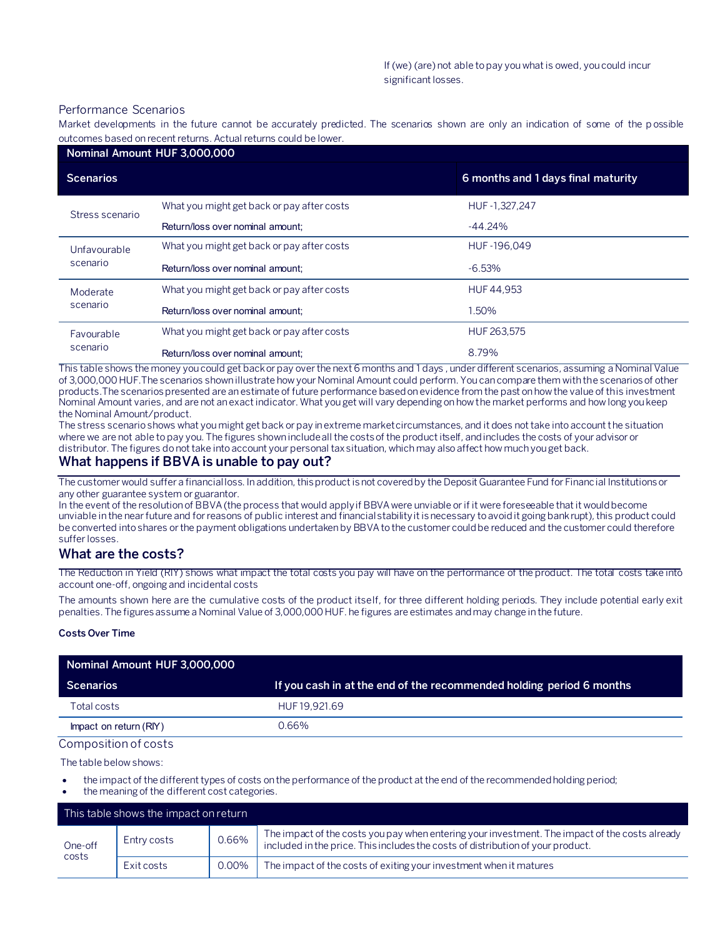#### Performance Scenarios

Market developments in the future cannot be accurately predicted. The scenarios shown are only an indication of some of the p ossible outcomes based on recent returns. Actual returns could be lower.

| Nominal Amount HUF 3,000,000 |                                            |                                    |  |  |
|------------------------------|--------------------------------------------|------------------------------------|--|--|
| <b>Scenarios</b>             |                                            | 6 months and 1 days final maturity |  |  |
| Stress scenario              | What you might get back or pay after costs | HUF-1,327,247                      |  |  |
|                              | Return/loss over nominal amount:           | $-44.24%$                          |  |  |
| Unfavourable<br>scenario     | What you might get back or pay after costs | HUF-196.049                        |  |  |
|                              | Return/loss over nominal amount:           | $-6.53\%$                          |  |  |
| Moderate<br>scenario         | What you might get back or pay after costs | HUF 44.953                         |  |  |
|                              | Return/loss over nominal amount:           | 1.50%                              |  |  |
| Favourable<br>scenario       | What you might get back or pay after costs | HUF 263.575                        |  |  |
|                              | Return/loss over nominal amount:           | 8.79%                              |  |  |

This table shows the money you could get back or pay over the next 6 months and 1 days , under different scenarios, assuming a Nominal Value of 3,000,000 HUF.The scenarios shown illustrate how your Nominal Amount could perform. You can compare them with the scenarios of other products.The scenarios presented are an estimate of future performance based on evidence from the past on how the value of this investment Nominal Amount varies, and are not an exact indicator. What you get will vary depending on how the market performs and how long you keep the Nominal Amount/product.

The stress scenario shows what you might get back or pay in extreme market circumstances, and it does not take into account the situation where we are not able to pay you. The figures shown include all the costs of the product itself, and includes the costs of your advisor or distributor. The figures do not take into account your personal tax situation, which may also affect how much you get back.

## **What happens if BBVA is unable to pay out?**

The customer would suffer a financial loss. In addition, this product is not covered by the Deposit Guarantee Fund for Financial Institutions or any other guarantee system or guarantor.

In the event of the resolution of BBVA (the process that would apply if BBVA were unviable or if it were foreseeable that it would become unviable in the near future and for reasons of public interest and financial stability it is necessary to avoid it going bankrupt), this product could be converted into shares or the payment obligations undertaken by BBVA to the customer could be reduced and the customer could therefore suffer losses.

# **What are the costs?**

The Reduction in Yield (RIY) shows what impact the total costs you pay will have on the performance of the product. The total costs take into account one-off, ongoing and incidental costs

The amounts shown here are the cumulative costs of the product itself, for three different holding periods. They include potential early exit penalties. The figures assume a Nominal Value of 3,000,000 HUF. he figures are estimates and may change in the future.

#### **Costs Over Time**

| Nominal Amount HUF 3,000,000 |                                                                      |
|------------------------------|----------------------------------------------------------------------|
| <b>Scenarios</b>             | If you cash in at the end of the recommended holding period 6 months |
| Total costs                  | HUF 19.921.69                                                        |
| Impact on return (RIY)       | 0.66%                                                                |

#### Composition of costs

The table below shows:

- the impact of the different types of costs on the performance of the product at the end of the recommended holding period;
- the meaning of the different cost categories.

| This table shows the impact on return |             |       |                                                                                                                                                                                   |
|---------------------------------------|-------------|-------|-----------------------------------------------------------------------------------------------------------------------------------------------------------------------------------|
| One-off<br>costs                      | Entry costs | 0.66% | The impact of the costs you pay when entering your investment. The impact of the costs already<br>included in the price. This includes the costs of distribution of your product. |
|                                       | Exit costs  | 0.00% | The impact of the costs of exiting your investment when it matures                                                                                                                |